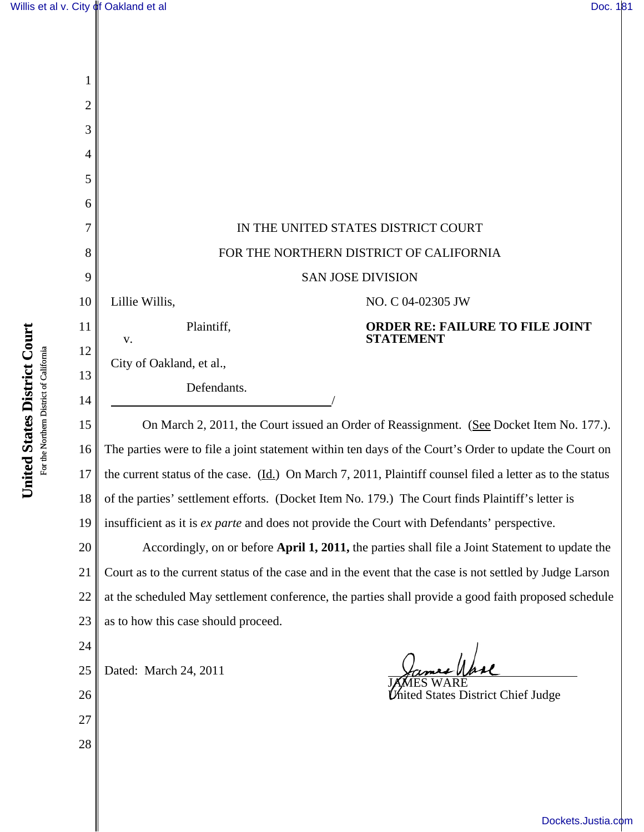| 1  |                                                                                                                        |  |  |
|----|------------------------------------------------------------------------------------------------------------------------|--|--|
| 2  |                                                                                                                        |  |  |
| 3  |                                                                                                                        |  |  |
| 4  |                                                                                                                        |  |  |
| 5  |                                                                                                                        |  |  |
| 6  |                                                                                                                        |  |  |
|    | IN THE UNITED STATES DISTRICT COURT                                                                                    |  |  |
| 8  | FOR THE NORTHERN DISTRICT OF CALIFORNIA                                                                                |  |  |
| 9  | <b>SAN JOSE DIVISION</b>                                                                                               |  |  |
| 10 | Lillie Willis,<br>NO. C 04-02305 JW                                                                                    |  |  |
| 11 | Plaintiff,<br><b>ORDER RE: FAILURE TO FILE JOINT</b>                                                                   |  |  |
| 12 | <b>STATEMENT</b><br>v.                                                                                                 |  |  |
| 13 | City of Oakland, et al.,                                                                                               |  |  |
| 14 | Defendants.                                                                                                            |  |  |
| 15 | On March 2, 2011, the Court issued an Order of Reassignment. (See Docket Item No. 177.).                               |  |  |
| 16 | The parties were to file a joint statement within ten days of the Court's Order to update the Court on                 |  |  |
| 17 | the current status of the case. $(\underline{Id})$ On March 7, 2011, Plaintiff counsel filed a letter as to the status |  |  |
| 18 | of the parties' settlement efforts. (Docket Item No. 179.) The Court finds Plaintiff's letter is                       |  |  |
| 19 | insufficient as it is ex parte and does not provide the Court with Defendants' perspective.                            |  |  |
| 20 | Accordingly, on or before April 1, 2011, the parties shall file a Joint Statement to update the                        |  |  |
| 21 | Court as to the current status of the case and in the event that the case is not settled by Judge Larson               |  |  |
| 22 | at the scheduled May settlement conference, the parties shall provide a good faith proposed schedule                   |  |  |
| 23 | as to how this case should proceed.                                                                                    |  |  |
| 24 |                                                                                                                        |  |  |
| 25 | Dated: March 24, 2011                                                                                                  |  |  |
| 26 | ed States District Chief Judge                                                                                         |  |  |
| 27 |                                                                                                                        |  |  |
| 28 |                                                                                                                        |  |  |
|    |                                                                                                                        |  |  |

United States District Court **United States District Court** For the Northern District of California For the Northern District of California